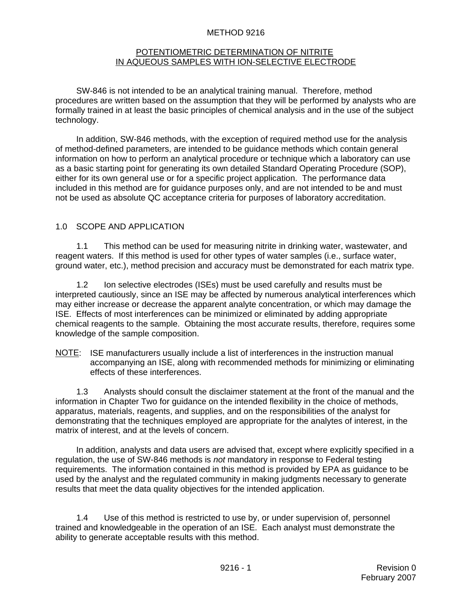#### METHOD 9216

#### POTENTIOMETRIC DETERMINATION OF NITRITE IN AQUEOUS SAMPLES WITH ION-SELECTIVE ELECTRODE

SW-846 is not intended to be an analytical training manual. Therefore, method procedures are written based on the assumption that they will be performed by analysts who are formally trained in at least the basic principles of chemical analysis and in the use of the subject technology.

In addition, SW-846 methods, with the exception of required method use for the analysis of method-defined parameters, are intended to be guidance methods which contain general information on how to perform an analytical procedure or technique which a laboratory can use as a basic starting point for generating its own detailed Standard Operating Procedure (SOP), either for its own general use or for a specific project application. The performance data included in this method are for guidance purposes only, and are not intended to be and must not be used as absolute QC acceptance criteria for purposes of laboratory accreditation.

#### 1.0 SCOPE AND APPLICATION

1.1 This method can be used for measuring nitrite in drinking water, wastewater, and reagent waters. If this method is used for other types of water samples (i.e., surface water, ground water, etc.), method precision and accuracy must be demonstrated for each matrix type.

1.2 Ion selective electrodes (ISEs) must be used carefully and results must be interpreted cautiously, since an ISE may be affected by numerous analytical interferences which may either increase or decrease the apparent analyte concentration, or which may damage the ISE. Effects of most interferences can be minimized or eliminated by adding appropriate chemical reagents to the sample. Obtaining the most accurate results, therefore, requires some knowledge of the sample composition.

NOTE: ISE manufacturers usually include a list of interferences in the instruction manual accompanying an ISE, along with recommended methods for minimizing or eliminating effects of these interferences.

1.3 Analysts should consult the disclaimer statement at the front of the manual and the information in Chapter Two for guidance on the intended flexibility in the choice of methods, apparatus, materials, reagents, and supplies, and on the responsibilities of the analyst for demonstrating that the techniques employed are appropriate for the analytes of interest, in the matrix of interest, and at the levels of concern.

In addition, analysts and data users are advised that, except where explicitly specified in a regulation, the use of SW-846 methods is *not* mandatory in response to Federal testing requirements. The information contained in this method is provided by EPA as guidance to be used by the analyst and the regulated community in making judgments necessary to generate results that meet the data quality objectives for the intended application.

1.4 Use of this method is restricted to use by, or under supervision of, personnel trained and knowledgeable in the operation of an ISE. Each analyst must demonstrate the ability to generate acceptable results with this method.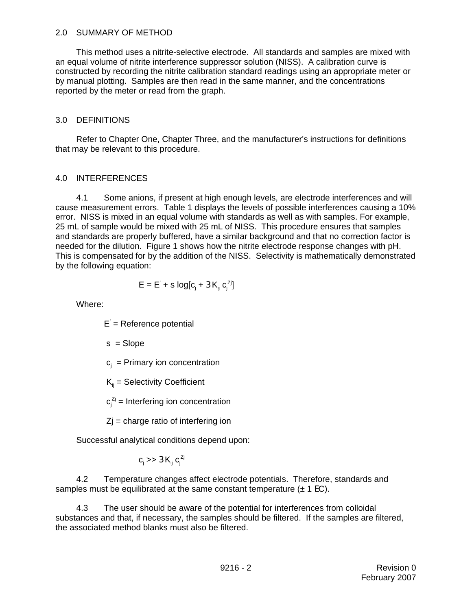#### 2.0 SUMMARY OF METHOD

This method uses a nitrite-selective electrode. All standards and samples are mixed with an equal volume of nitrite interference suppressor solution (NISS). A calibration curve is constructed by recording the nitrite calibration standard readings using an appropriate meter or by manual plotting. Samples are then read in the same manner, and the concentrations reported by the meter or read from the graph.

#### 3.0 DEFINITIONS

Refer to Chapter One, Chapter Three, and the manufacturer's instructions for definitions that may be relevant to this procedure.

#### 4.0 INTERFERENCES

4.1 Some anions, if present at high enough levels, are electrode interferences and will cause measurement errors. Table 1 displays the levels of possible interferences causing a 10% error. NISS is mixed in an equal volume with standards as well as with samples. For example, 25 mL of sample would be mixed with 25 mL of NISS. This procedure ensures that samples and standards are properly buffered, have a similar background and that no correction factor is needed for the dilution. Figure 1 shows how the nitrite electrode response changes with pH. This is compensated for by the addition of the NISS. Selectivity is mathematically demonstrated by the following equation:

$$
\mathsf{E} = \mathsf{E}^{'} + s \text{ log}[c_j + 3 \, \mathsf{K}_{ij} \, c_j^{zj}]
$$

Where:

E' = Reference potential

 $s = Slope$ 

 $c_j$  = Primary ion concentration

 $K_{ii}$  = Selectivity Coefficient

 $c_j^{z_j}$  = Interfering ion concentration

 $Z$ j = charge ratio of interfering ion

Successful analytical conditions depend upon:

 $c_j >> 3K_{ij} c_j^{Zj}$ 

4.2 Temperature changes affect electrode potentials. Therefore, standards and samples must be equilibrated at the same constant temperature  $(\pm 1 \text{ EC})$ .

4.3 The user should be aware of the potential for interferences from colloidal substances and that, if necessary, the samples should be filtered. If the samples are filtered, the associated method blanks must also be filtered.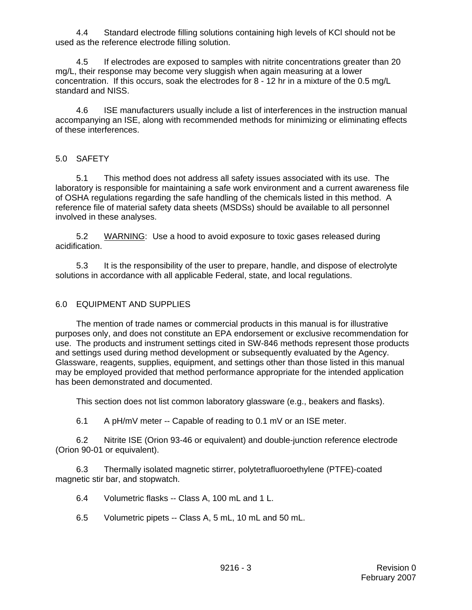4.4 Standard electrode filling solutions containing high levels of KCl should not be used as the reference electrode filling solution.

4.5 If electrodes are exposed to samples with nitrite concentrations greater than 20 mg/L, their response may become very sluggish when again measuring at a lower concentration. If this occurs, soak the electrodes for 8 - 12 hr in a mixture of the 0.5 mg/L standard and NISS.

4.6 ISE manufacturers usually include a list of interferences in the instruction manual accompanying an ISE, along with recommended methods for minimizing or eliminating effects of these interferences.

## 5.0 SAFETY

5.1 This method does not address all safety issues associated with its use. The laboratory is responsible for maintaining a safe work environment and a current awareness file of OSHA regulations regarding the safe handling of the chemicals listed in this method. A reference file of material safety data sheets (MSDSs) should be available to all personnel involved in these analyses.

5.2 WARNING: Use a hood to avoid exposure to toxic gases released during acidification.

5.3 It is the responsibility of the user to prepare, handle, and dispose of electrolyte solutions in accordance with all applicable Federal, state, and local regulations.

### 6.0 EQUIPMENT AND SUPPLIES

The mention of trade names or commercial products in this manual is for illustrative purposes only, and does not constitute an EPA endorsement or exclusive recommendation for use. The products and instrument settings cited in SW-846 methods represent those products and settings used during method development or subsequently evaluated by the Agency. Glassware, reagents, supplies, equipment, and settings other than those listed in this manual may be employed provided that method performance appropriate for the intended application has been demonstrated and documented.

This section does not list common laboratory glassware (e.g., beakers and flasks).

6.1 A pH/mV meter -- Capable of reading to 0.1 mV or an ISE meter.

6.2 Nitrite ISE (Orion 93-46 or equivalent) and double-junction reference electrode (Orion 90-01 or equivalent).

6.3 Thermally isolated magnetic stirrer, polytetrafluoroethylene (PTFE)-coated magnetic stir bar, and stopwatch.

6.4 Volumetric flasks -- Class A, 100 mL and 1 L.

6.5 Volumetric pipets -- Class A, 5 mL, 10 mL and 50 mL.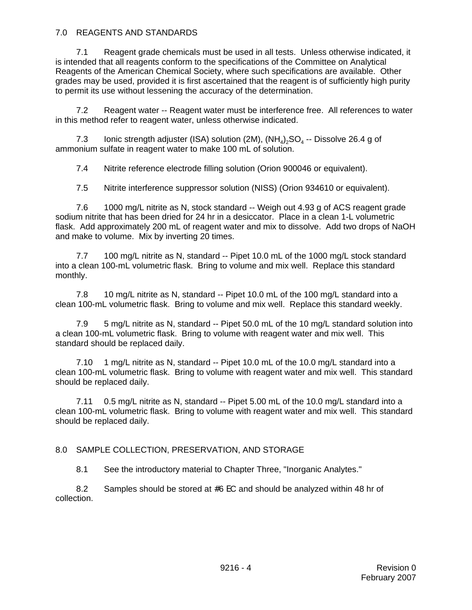### 7.0 REAGENTS AND STANDARDS

7.1 Reagent grade chemicals must be used in all tests. Unless otherwise indicated, it is intended that all reagents conform to the specifications of the Committee on Analytical Reagents of the American Chemical Society, where such specifications are available. Other grades may be used, provided it is first ascertained that the reagent is of sufficiently high purity to permit its use without lessening the accuracy of the determination.

7.2 Reagent water -- Reagent water must be interference free. All references to water in this method refer to reagent water, unless otherwise indicated.

7.3 Ionic strength adjuster (ISA) solution (2M),  $(NH_4)_2SO_4$  -- Dissolve 26.4 g of ammonium sulfate in reagent water to make 100 mL of solution.

7.4 Nitrite reference electrode filling solution (Orion 900046 or equivalent).

7.5 Nitrite interference suppressor solution (NISS) (Orion 934610 or equivalent).

7.6 1000 mg/L nitrite as N, stock standard -- Weigh out 4.93 g of ACS reagent grade sodium nitrite that has been dried for 24 hr in a desiccator. Place in a clean 1-L volumetric flask. Add approximately 200 mL of reagent water and mix to dissolve. Add two drops of NaOH and make to volume. Mix by inverting 20 times.

7.7 100 mg/L nitrite as N, standard -- Pipet 10.0 mL of the 1000 mg/L stock standard into a clean 100-mL volumetric flask. Bring to volume and mix well. Replace this standard monthly.

7.8 10 mg/L nitrite as N, standard -- Pipet 10.0 mL of the 100 mg/L standard into a clean 100-mL volumetric flask. Bring to volume and mix well. Replace this standard weekly.

7.9 5 mg/L nitrite as N, standard -- Pipet 50.0 mL of the 10 mg/L standard solution into a clean 100-mL volumetric flask. Bring to volume with reagent water and mix well. This standard should be replaced daily.

7.10 1 mg/L nitrite as N, standard -- Pipet 10.0 mL of the 10.0 mg/L standard into a clean 100-mL volumetric flask. Bring to volume with reagent water and mix well. This standard should be replaced daily.

7.11 0.5 mg/L nitrite as N, standard -- Pipet 5.00 mL of the 10.0 mg/L standard into a clean 100-mL volumetric flask. Bring to volume with reagent water and mix well. This standard should be replaced daily.

## 8.0 SAMPLE COLLECTION, PRESERVATION, AND STORAGE

8.1 See the introductory material to Chapter Three, "Inorganic Analytes."

8.2 Samples should be stored at  $#6$  EC and should be analyzed within 48 hr of collection.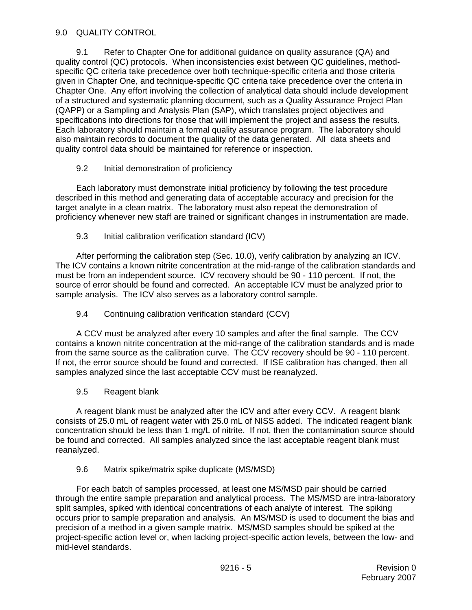## 9.0 QUALITY CONTROL

9.1 Refer to Chapter One for additional guidance on quality assurance (QA) and quality control (QC) protocols. When inconsistencies exist between QC guidelines, methodspecific QC criteria take precedence over both technique-specific criteria and those criteria given in Chapter One, and technique-specific QC criteria take precedence over the criteria in Chapter One. Any effort involving the collection of analytical data should include development of a structured and systematic planning document, such as a Quality Assurance Project Plan (QAPP) or a Sampling and Analysis Plan (SAP), which translates project objectives and specifications into directions for those that will implement the project and assess the results. Each laboratory should maintain a formal quality assurance program. The laboratory should also maintain records to document the quality of the data generated. All data sheets and quality control data should be maintained for reference or inspection.

## 9.2 Initial demonstration of proficiency

Each laboratory must demonstrate initial proficiency by following the test procedure described in this method and generating data of acceptable accuracy and precision for the target analyte in a clean matrix. The laboratory must also repeat the demonstration of proficiency whenever new staff are trained or significant changes in instrumentation are made.

## 9.3 Initial calibration verification standard (ICV)

After performing the calibration step (Sec. 10.0), verify calibration by analyzing an ICV. The ICV contains a known nitrite concentration at the mid-range of the calibration standards and must be from an independent source. ICV recovery should be 90 - 110 percent. If not, the source of error should be found and corrected. An acceptable ICV must be analyzed prior to sample analysis. The ICV also serves as a laboratory control sample.

## 9.4 Continuing calibration verification standard (CCV)

A CCV must be analyzed after every 10 samples and after the final sample. The CCV contains a known nitrite concentration at the mid-range of the calibration standards and is made from the same source as the calibration curve. The CCV recovery should be 90 - 110 percent. If not, the error source should be found and corrected. If ISE calibration has changed, then all samples analyzed since the last acceptable CCV must be reanalyzed.

### 9.5 Reagent blank

A reagent blank must be analyzed after the ICV and after every CCV. A reagent blank consists of 25.0 mL of reagent water with 25.0 mL of NISS added. The indicated reagent blank concentration should be less than 1 mg/L of nitrite. If not, then the contamination source should be found and corrected. All samples analyzed since the last acceptable reagent blank must reanalyzed.

### 9.6 Matrix spike/matrix spike duplicate (MS/MSD)

For each batch of samples processed, at least one MS/MSD pair should be carried through the entire sample preparation and analytical process. The MS/MSD are intra-laboratory split samples, spiked with identical concentrations of each analyte of interest. The spiking occurs prior to sample preparation and analysis. An MS/MSD is used to document the bias and precision of a method in a given sample matrix. MS/MSD samples should be spiked at the project-specific action level or, when lacking project-specific action levels, between the low- and mid-level standards.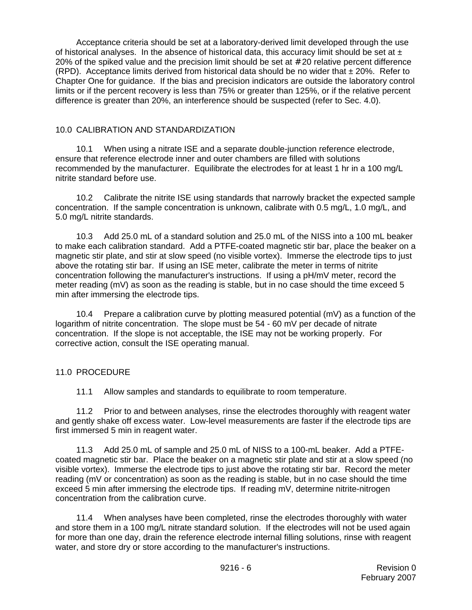Acceptance criteria should be set at a laboratory-derived limit developed through the use of historical analyses. In the absence of historical data, this accuracy limit should be set at  $\pm$ 20% of the spiked value and the precision limit should be set at # 20 relative percent difference (RPD). Acceptance limits derived from historical data should be no wider that  $\pm 20\%$ . Refer to Chapter One for guidance. If the bias and precision indicators are outside the laboratory control limits or if the percent recovery is less than 75% or greater than 125%, or if the relative percent difference is greater than 20%, an interference should be suspected (refer to Sec. 4.0).

### 10.0 CALIBRATION AND STANDARDIZATION

10.1 When using a nitrate ISE and a separate double-junction reference electrode, ensure that reference electrode inner and outer chambers are filled with solutions recommended by the manufacturer. Equilibrate the electrodes for at least 1 hr in a 100 mg/L nitrite standard before use.

10.2 Calibrate the nitrite ISE using standards that narrowly bracket the expected sample concentration. If the sample concentration is unknown, calibrate with 0.5 mg/L, 1.0 mg/L, and 5.0 mg/L nitrite standards.

10.3 Add 25.0 mL of a standard solution and 25.0 mL of the NISS into a 100 mL beaker to make each calibration standard. Add a PTFE-coated magnetic stir bar, place the beaker on a magnetic stir plate, and stir at slow speed (no visible vortex). Immerse the electrode tips to just above the rotating stir bar. If using an ISE meter, calibrate the meter in terms of nitrite concentration following the manufacturer's instructions. If using a pH/mV meter, record the meter reading (mV) as soon as the reading is stable, but in no case should the time exceed 5 min after immersing the electrode tips.

10.4 Prepare a calibration curve by plotting measured potential ( $mV$ ) as a function of the logarithm of nitrite concentration. The slope must be 54 - 60 mV per decade of nitrate concentration. If the slope is not acceptable, the ISE may not be working properly. For corrective action, consult the ISE operating manual.

## 11.0 PROCEDURE

11.1 Allow samples and standards to equilibrate to room temperature.

11.2 Prior to and between analyses, rinse the electrodes thoroughly with reagent water and gently shake off excess water. Low-level measurements are faster if the electrode tips are first immersed 5 min in reagent water.

11.3 Add 25.0 mL of sample and 25.0 mL of NISS to a 100-mL beaker. Add a PTFEcoated magnetic stir bar. Place the beaker on a magnetic stir plate and stir at a slow speed (no visible vortex). Immerse the electrode tips to just above the rotating stir bar. Record the meter reading (mV or concentration) as soon as the reading is stable, but in no case should the time exceed 5 min after immersing the electrode tips. If reading mV, determine nitrite-nitrogen concentration from the calibration curve.

11.4 When analyses have been completed, rinse the electrodes thoroughly with water and store them in a 100 mg/L nitrate standard solution. If the electrodes will not be used again for more than one day, drain the reference electrode internal filling solutions, rinse with reagent water, and store dry or store according to the manufacturer's instructions.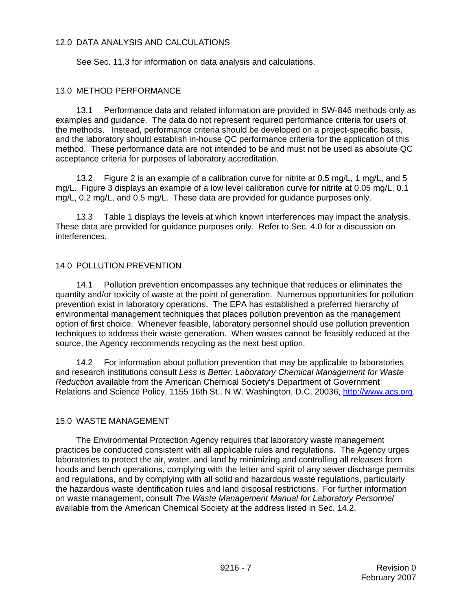## 12.0 DATA ANALYSIS AND CALCULATIONS

See Sec. 11.3 for information on data analysis and calculations.

## 13.0 METHOD PERFORMANCE

13.1 Performance data and related information are provided in SW-846 methods only as examples and guidance. The data do not represent required performance criteria for users of the methods. Instead, performance criteria should be developed on a project-specific basis, and the laboratory should establish in-house QC performance criteria for the application of this method. These performance data are not intended to be and must not be used as absolute QC acceptance criteria for purposes of laboratory accreditation.

13.2 Figure 2 is an example of a calibration curve for nitrite at 0.5 mg/L, 1 mg/L, and 5 mg/L. Figure 3 displays an example of a low level calibration curve for nitrite at 0.05 mg/L, 0.1 mg/L, 0.2 mg/L, and 0.5 mg/L. These data are provided for guidance purposes only.

13.3 Table 1 displays the levels at which known interferences may impact the analysis. These data are provided for guidance purposes only. Refer to Sec. 4.0 for a discussion on interferences.

### 14.0 POLLUTION PREVENTION

14.1 Pollution prevention encompasses any technique that reduces or eliminates the quantity and/or toxicity of waste at the point of generation. Numerous opportunities for pollution prevention exist in laboratory operations. The EPA has established a preferred hierarchy of environmental management techniques that places pollution prevention as the management option of first choice. Whenever feasible, laboratory personnel should use pollution prevention techniques to address their waste generation. When wastes cannot be feasibly reduced at the source, the Agency recommends recycling as the next best option.

14.2 For information about pollution prevention that may be applicable to laboratories and research institutions consult *Less is Better: Laboratory Chemical Management for Waste Reduction* available from the American Chemical Society's Department of Government Relations and Science Policy, 1155 16th St., N.W. Washington, D.C. 20036, http://www.acs.org.

### 15.0 WASTE MANAGEMENT

The Environmental Protection Agency requires that laboratory waste management practices be conducted consistent with all applicable rules and regulations. The Agency urges laboratories to protect the air, water, and land by minimizing and controlling all releases from hoods and bench operations, complying with the letter and spirit of any sewer discharge permits and regulations, and by complying with all solid and hazardous waste regulations, particularly the hazardous waste identification rules and land disposal restrictions. For further information on waste management, consult *The Waste Management Manual for Laboratory Personnel* available from the American Chemical Society at the address listed in Sec. 14.2.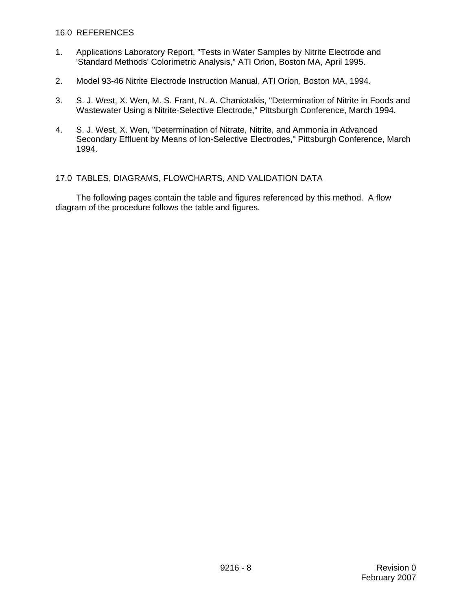#### 16.0 REFERENCES

- 1. Applications Laboratory Report, "Tests in Water Samples by Nitrite Electrode and 'Standard Methods' Colorimetric Analysis," ATI Orion, Boston MA, April 1995.
- 2. Model 93-46 Nitrite Electrode Instruction Manual, ATI Orion, Boston MA, 1994.
- 3. S. J. West, X. Wen, M. S. Frant, N. A. Chaniotakis, "Determination of Nitrite in Foods and Wastewater Using a Nitrite-Selective Electrode," Pittsburgh Conference, March 1994.
- 4. S. J. West, X. Wen, "Determination of Nitrate, Nitrite, and Ammonia in Advanced Secondary Effluent by Means of Ion-Selective Electrodes," Pittsburgh Conference, March 1994.

#### 17.0 TABLES, DIAGRAMS, FLOWCHARTS, AND VALIDATION DATA

The following pages contain the table and figures referenced by this method. A flow diagram of the procedure follows the table and figures.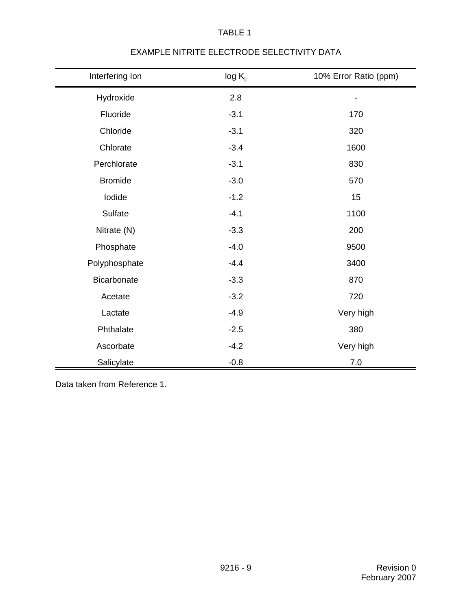| Interfering Ion | $log K_{ij}$ | 10% Error Ratio (ppm) |
|-----------------|--------------|-----------------------|
| Hydroxide       | 2.8          |                       |
| Fluoride        | $-3.1$       | 170                   |
| Chloride        | $-3.1$       | 320                   |
| Chlorate        | $-3.4$       | 1600                  |
| Perchlorate     | $-3.1$       | 830                   |
| <b>Bromide</b>  | $-3.0$       | 570                   |
| lodide          | $-1.2$       | 15                    |
| Sulfate         | $-4.1$       | 1100                  |
| Nitrate (N)     | $-3.3$       | 200                   |
| Phosphate       | $-4.0$       | 9500                  |
| Polyphosphate   | $-4.4$       | 3400                  |
| Bicarbonate     | $-3.3$       | 870                   |
| Acetate         | $-3.2$       | 720                   |
| Lactate         | $-4.9$       | Very high             |
| Phthalate       | $-2.5$       | 380                   |
| Ascorbate       | $-4.2$       | Very high             |
| Salicylate      | $-0.8$       | 7.0                   |

# EXAMPLE NITRITE ELECTRODE SELECTIVITY DATA

TABLE 1

Data taken from Reference 1.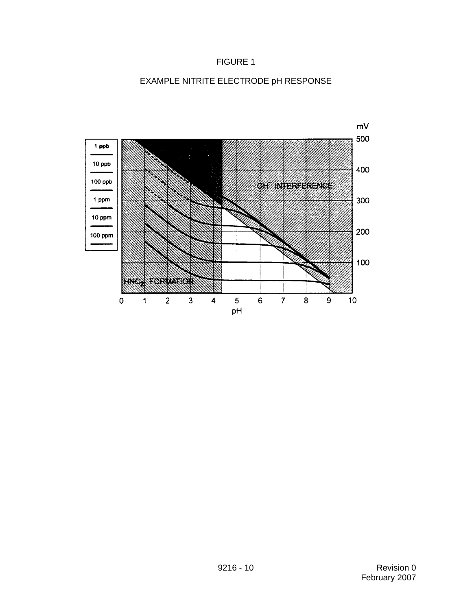## FIGURE 1



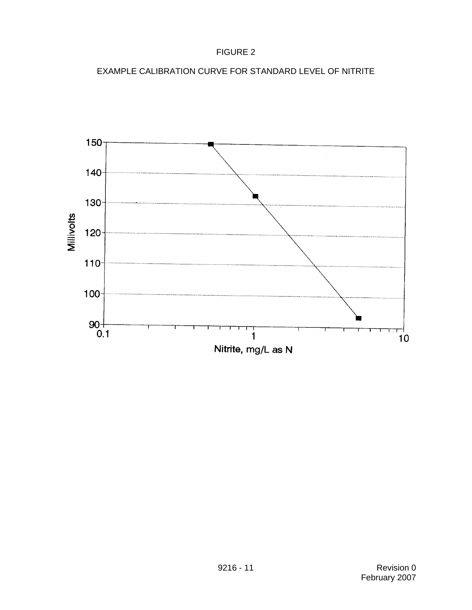## FIGURE 2



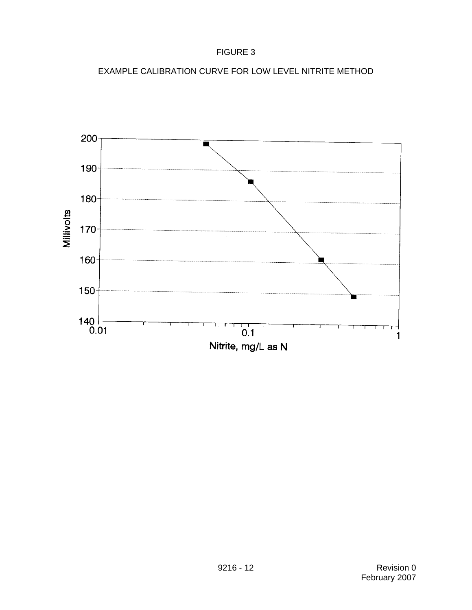# FIGURE 3